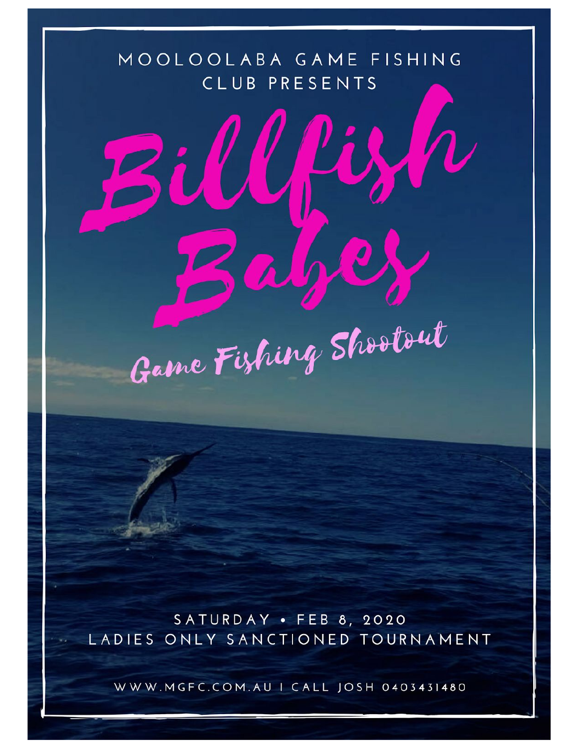# MOOLOOLABA GAME FISHING CLUB PRESENTS

WL

Game Fishing Shootout

SATURDAY · FEB 8, 2020 LADIES ONLY SANCTIONED TOURNAMENT

WWW.MGFC.COM.AU | CALL JOSH 0403431480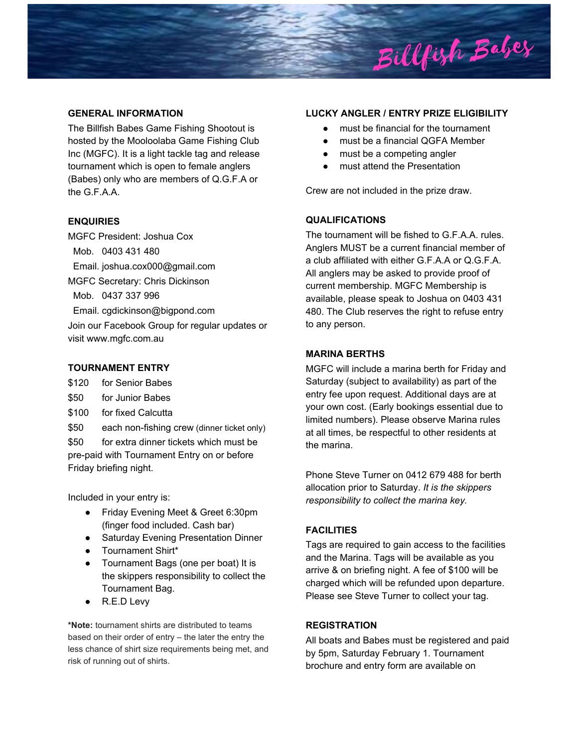

## **GENERAL INFORMATION**

The Billfish Babes Game Fishing Shootout is hosted by the Mooloolaba Game Fishing Club Inc (MGFC). It is a light tackle tag and release tournament which is open to female anglers (Babes) only who are members of Q.G.F.A or the G.F.A.A.

## **ENQUIRIES**

MGFC President: Joshua Cox

Mob. 0403 431 480

Email. joshua.cox000@gmail.com

MGFC Secretary: Chris Dickinson

Mob. 0437 337 996

Email. cgdickinson@bigpond.com

Join our Facebook Group for regular updates or visit www.mgfc.com.au

# **TOURNAMENT ENTRY**

\$120 for Senior Babes

- \$50 for Junior Babes
- \$100 for fixed Calcutta
- \$50 each non-fishing crew (dinner ticket only)

\$50 for extra dinner tickets which must be pre-paid with Tournament Entry on or before Friday briefing night.

Included in your entry is:

- Friday Evening Meet & Greet 6:30pm (finger food included. Cash bar)
- Saturday Evening Presentation Dinner
- Tournament Shirt\*
- Tournament Bags (one per boat) It is the skippers responsibility to collect the Tournament Bag.
- R.E.D Levy

**\*Note:** tournament shirts are distributed to teams based on their order of entry – the later the entry the less chance of shirt size requirements being met, and risk of running out of shirts.

#### **LUCKY ANGLER / ENTRY PRIZE ELIGIBILITY**

- must be financial for the tournament
- must be a financial QGFA Member
- must be a competing angler
- must attend the Presentation

Crew are not included in the prize draw.

# **QUALIFICATIONS**

The tournament will be fished to G.F.A.A. rules. Anglers MUST be a current financial member of a club affiliated with either G.F.A.A or Q.G.F.A. All anglers may be asked to provide proof of current membership. MGFC Membership is available, please speak to Joshua on 0403 431 480. The Club reserves the right to refuse entry to any person.

## **MARINA BERTHS**

MGFC will include a marina berth for Friday and Saturday (subject to availability) as part of the entry fee upon request. Additional days are at your own cost. (Early bookings essential due to limited numbers). Please observe Marina rules at all times, be respectful to other residents at the marina.

Phone Steve Turner on 0412 679 488 for berth allocation prior to Saturday. *It is the skippers responsibility to collect the marina key.*

# **FACILITIES**

Tags are required to gain access to the facilities and the Marina. Tags will be available as you arrive & on briefing night. A fee of \$100 will be charged which will be refunded upon departure. Please see Steve Turner to collect your tag.

# **REGISTRATION**

All boats and Babes must be registered and paid by 5pm, Saturday February 1. Tournament brochure and entry form are available on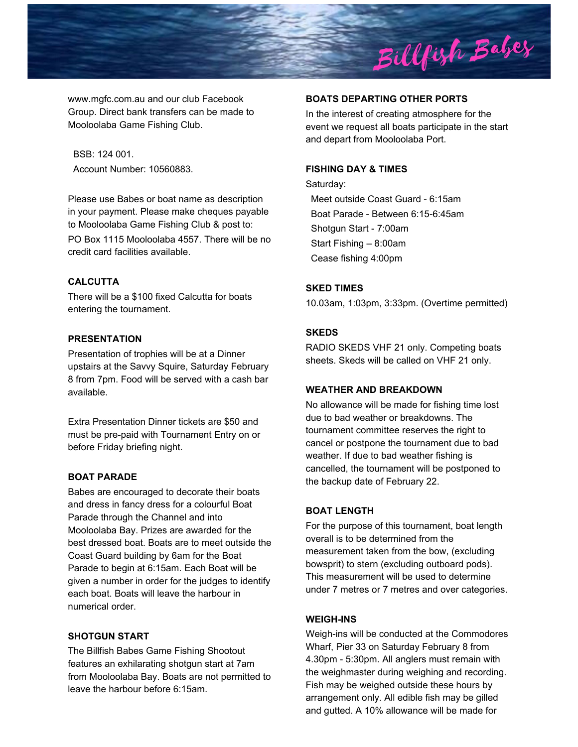

www.mgfc.com.au and our club Facebook Group. Direct bank transfers can be made to Mooloolaba Game Fishing Club.

BSB: 124 001. Account Number: 10560883.

Please use Babes or boat name as description in your payment. Please make cheques payable to Mooloolaba Game Fishing Club & post to: PO Box 1115 Mooloolaba 4557. There will be no credit card facilities available.

## **CALCUTTA**

There will be a \$100 fixed Calcutta for boats entering the tournament.

## **PRESENTATION**

Presentation of trophies will be at a Dinner upstairs at the Savvy Squire, Saturday February 8 from 7pm. Food will be served with a cash bar available.

Extra Presentation Dinner tickets are \$50 and must be pre-paid with Tournament Entry on or before Friday briefing night.

# **BOAT PARADE**

Babes are encouraged to decorate their boats and dress in fancy dress for a colourful Boat Parade through the Channel and into Mooloolaba Bay. Prizes are awarded for the best dressed boat. Boats are to meet outside the Coast Guard building by 6am for the Boat Parade to begin at 6:15am. Each Boat will be given a number in order for the judges to identify each boat. Boats will leave the harbour in numerical order.

#### **SHOTGUN START**

The Billfish Babes Game Fishing Shootout features an exhilarating shotgun start at 7am from Mooloolaba Bay. Boats are not permitted to leave the harbour before 6:15am.

# **BOATS DEPARTING OTHER PORTS**

In the interest of creating atmosphere for the event we request all boats participate in the start and depart from Mooloolaba Port.

#### **FISHING DAY & TIMES**

Saturday: Meet outside Coast Guard - 6:15am Boat Parade - Between 6:15-6:45am Shotgun Start - 7:00am Start Fishing – 8:00am Cease fishing 4:00pm

## **SKED TIMES**

10.03am, 1:03pm, 3:33pm. (Overtime permitted)

#### **SKEDS**

RADIO SKEDS VHF 21 only. Competing boats sheets. Skeds will be called on VHF 21 only.

# **WEATHER AND BREAKDOWN**

No allowance will be made for fishing time lost due to bad weather or breakdowns. The tournament committee reserves the right to cancel or postpone the tournament due to bad weather. If due to bad weather fishing is cancelled, the tournament will be postponed to the backup date of February 22.

#### **BOAT LENGTH**

For the purpose of this tournament, boat length overall is to be determined from the measurement taken from the bow, (excluding bowsprit) to stern (excluding outboard pods). This measurement will be used to determine under 7 metres or 7 metres and over categories.

## **WEIGH-INS**

Weigh-ins will be conducted at the Commodores Wharf, Pier 33 on Saturday February 8 from 4.30pm - 5:30pm. All anglers must remain with the weighmaster during weighing and recording. Fish may be weighed outside these hours by arrangement only. All edible fish may be gilled and gutted. A 10% allowance will be made for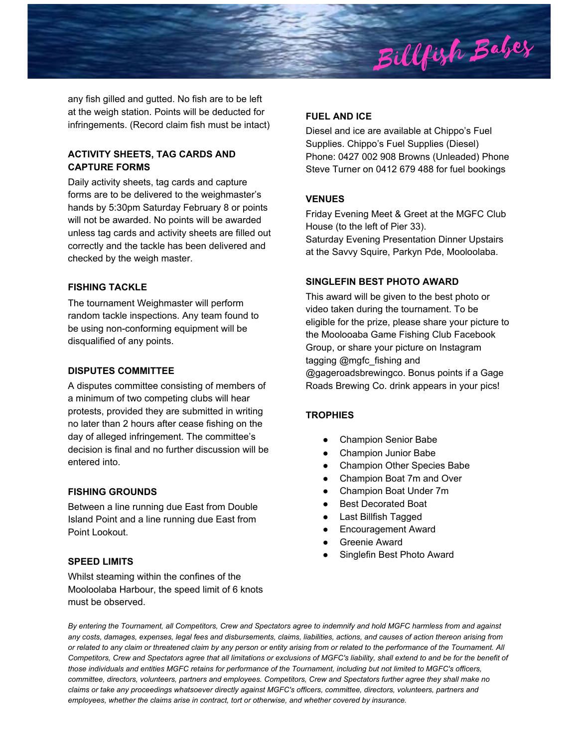

any fish gilled and gutted. No fish are to be left at the weigh station. Points will be deducted for infringements. (Record claim fish must be intact)

# **ACTIVITY SHEETS, TAG CARDS AND CAPTURE FORMS**

Daily activity sheets, tag cards and capture forms are to be delivered to the weighmaster's hands by 5:30pm Saturday February 8 or points will not be awarded. No points will be awarded unless tag cards and activity sheets are filled out correctly and the tackle has been delivered and checked by the weigh master.

## **FISHING TACKLE**

The tournament Weighmaster will perform random tackle inspections. Any team found to be using non-conforming equipment will be disqualified of any points.

## **DISPUTES COMMITTEE**

A disputes committee consisting of members of a minimum of two competing clubs will hear protests, provided they are submitted in writing no later than 2 hours after cease fishing on the day of alleged infringement. The committee's decision is final and no further discussion will be entered into.

#### **FISHING GROUNDS**

Between a line running due East from Double Island Point and a line running due East from Point Lookout.

## **SPEED LIMITS**

Whilst steaming within the confines of the Mooloolaba Harbour, the speed limit of 6 knots must be observed.

# **FUEL AND ICE**

Diesel and ice are available at Chippo's Fuel Supplies. Chippo's Fuel Supplies (Diesel) Phone: 0427 002 908 Browns (Unleaded) Phone Steve Turner on 0412 679 488 for fuel bookings

# **VENUES**

Friday Evening Meet & Greet at the MGFC Club House (to the left of Pier 33). Saturday Evening Presentation Dinner Upstairs at the Savvy Squire, Parkyn Pde, Mooloolaba.

# **SINGLEFIN BEST PHOTO AWARD**

This award will be given to the best photo or video taken during the tournament. To be eligible for the prize, please share your picture to the Moolooaba Game Fishing Club Facebook Group, or share your picture on Instagram tagging @mgfc\_fishing and @gageroadsbrewingco. Bonus points if a Gage Roads Brewing Co. drink appears in your pics!

# **TROPHIES**

- Champion Senior Babe
- Champion Junior Babe
- Champion Other Species Babe
- Champion Boat 7m and Over
- Champion Boat Under 7m
- **Best Decorated Boat**
- Last Billfish Tagged
- **Encouragement Award**
- Greenie Award
- Singlefin Best Photo Award

By entering the Tournament, all Competitors, Crew and Spectators agree to indemnify and hold MGFC harmless from and against any costs, damages, expenses, legal fees and disbursements, claims, liabilities, actions, and causes of action thereon arising from or related to any claim or threatened claim by any person or entity arising from or related to the performance of the Tournament. All Competitors, Crew and Spectators agree that all limitations or exclusions of MGFC's liability, shall extend to and be for the benefit of those individuals and entities MGFC retains for performance of the Tournament, including but not limited to MGFC's officers, committee, directors, volunteers, partners and employees. Competitors, Crew and Spectators further agree they shall make no claims or take any proceedings whatsoever directly against MGFC's officers, committee, directors, volunteers, partners and *employees, whether the claims arise in contract, tort or otherwise, and whether covered by insurance.*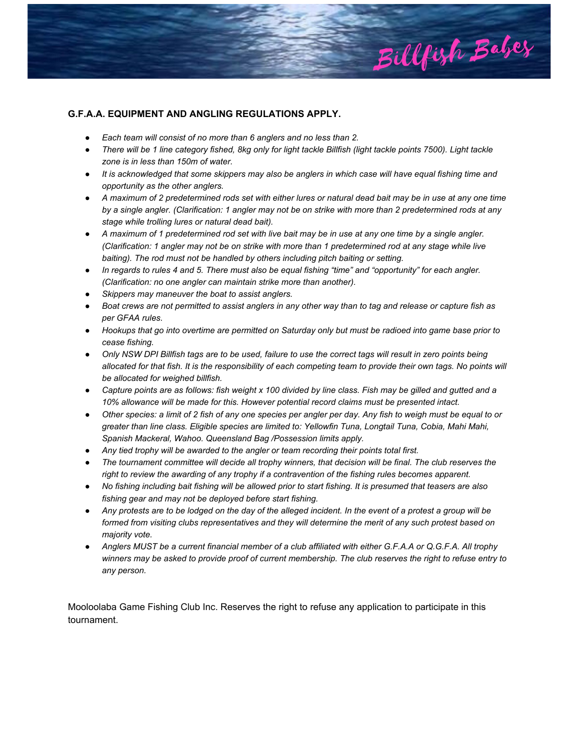

# **G.F.A.A. EQUIPMENT AND ANGLING REGULATIONS APPLY.**

- *Each team will consist of no more than 6 anglers and no less than 2.*
- *There will be 1 line category fished, 8kg only for light tackle Billfish (light tackle points 7500). Light tackle zone is in less than 150m of water.*
- *It is acknowledged that some skippers may also be anglers in which case will have equal fishing time and opportunity as the other anglers.*
- *A maximum of 2 predetermined rods set with either lures or natural dead bait may be in use at any one time by a single angler. (Clarification: 1 angler may not be on strike with more than 2 predetermined rods at any stage while trolling lures or natural dead bait).*
- *A maximum of 1 predetermined rod set with live bait may be in use at any one time by a single angler. (Clarification: 1 angler may not be on strike with more than 1 predetermined rod at any stage while live baiting). The rod must not be handled by others including pitch baiting or setting.*
- *In regards to rules 4 and 5. There must also be equal fishing "time" and "opportunity" for each angler. (Clarification: no one angler can maintain strike more than another).*
- *Skippers may maneuver the boat to assist anglers.*
- Boat crews are not permitted to assist anglers in any other way than to tag and release or capture fish as *per GFAA rules.*
- *Hookups that go into overtime are permitted on Saturday only but must be radioed into game base prior to cease fishing.*
- *Only NSW DPI Billfish tags are to be used, failure to use the correct tags will result in zero points being allocated for that fish. It is the responsibility of each competing team to provide their own tags. No points will be allocated for weighed billfish.*
- *Capture points are as follows: fish weight x 100 divided by line class. Fish may be gilled and gutted and a 10% allowance will be made for this. However potential record claims must be presented intact.*
- Other species: a limit of 2 fish of any one species per angler per day. Any fish to weigh must be equal to or *greater than line class. Eligible species are limited to: Yellowfin Tuna, Longtail Tuna, Cobia, Mahi Mahi, Spanish Mackeral, Wahoo. Queensland Bag /Possession limits apply.*
- *Any tied trophy will be awarded to the angler or team recording their points total first.*
- *The tournament committee will decide all trophy winners, that decision will be final. The club reserves the right to review the awarding of any trophy if a contravention of the fishing rules becomes apparent.*
- *No fishing including bait fishing will be allowed prior to start fishing. It is presumed that teasers are also fishing gear and may not be deployed before start fishing.*
- *Any protests are to be lodged on the day of the alleged incident. In the event of a protest a group will be formed from visiting clubs representatives and they will determine the merit of any such protest based on majority vote.*
- *Anglers MUST be a current financial member of a club affiliated with either G.F.A.A or Q.G.F.A. All trophy winners may be asked to provide proof of current membership. The club reserves the right to refuse entry to any person.*

Mooloolaba Game Fishing Club Inc. Reserves the right to refuse any application to participate in this tournament.